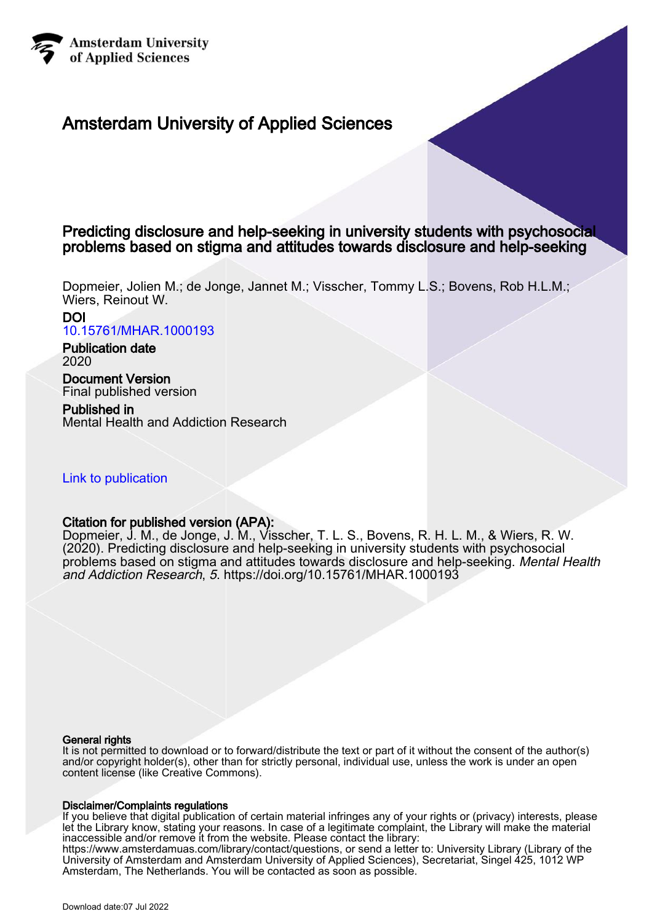

## Amsterdam University of Applied Sciences

## Predicting disclosure and help-seeking in university students with psychosocial problems based on stigma and attitudes towards disclosure and help-seeking

Dopmeier, Jolien M.; de Jonge, Jannet M.; Visscher, Tommy L.S.; Bovens, Rob H.L.M.; Wiers, Reinout W.

DOI [10.15761/MHAR.1000193](https://doi.org/10.15761/MHAR.1000193)

Publication date 2020

Document Version Final published version

Published in Mental Health and Addiction Research

## [Link to publication](https://research.hva.nl/en/publications/e2825466-5355-4f12-a913-54bff16ab1f2)

## Citation for published version (APA):

Dopmeier, J. M., de Jonge, J. M., Visscher, T. L. S., Bovens, R. H. L. M., & Wiers, R. W. (2020). Predicting disclosure and help-seeking in university students with psychosocial problems based on stigma and attitudes towards disclosure and help-seeking. Mental Health and Addiction Research, 5.<https://doi.org/10.15761/MHAR.1000193>

#### General rights

It is not permitted to download or to forward/distribute the text or part of it without the consent of the author(s) and/or copyright holder(s), other than for strictly personal, individual use, unless the work is under an open content license (like Creative Commons).

#### Disclaimer/Complaints regulations

If you believe that digital publication of certain material infringes any of your rights or (privacy) interests, please let the Library know, stating your reasons. In case of a legitimate complaint, the Library will make the material inaccessible and/or remove it from the website. Please contact the library: https://www.amsterdamuas.com/library/contact/questions, or send a letter to: University Library (Library of the University of Amsterdam and Amsterdam University of Applied Sciences), Secretariat, Singel 425, 1012 WP Amsterdam, The Netherlands. You will be contacted as soon as possible.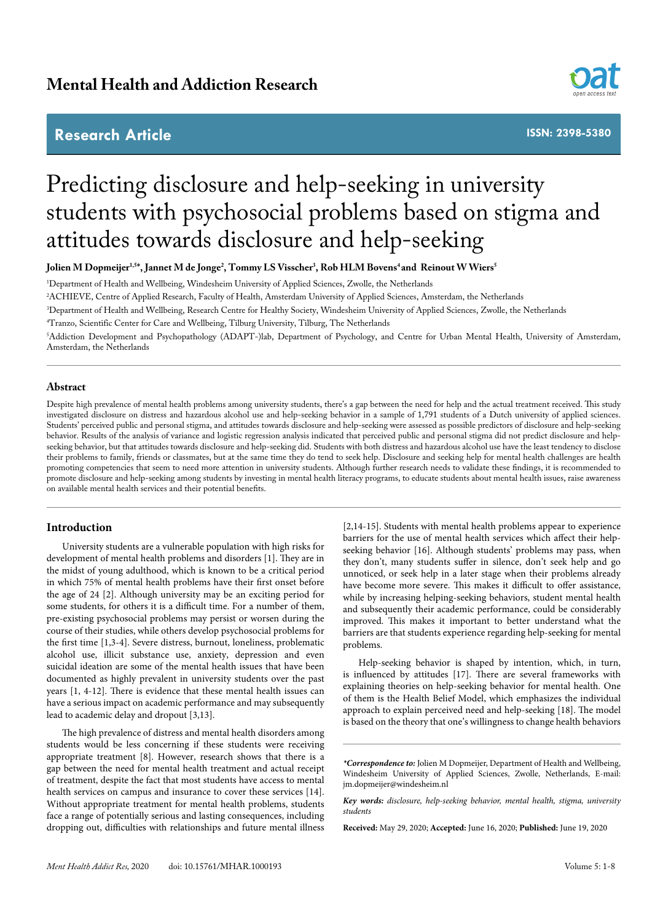## **Research Article**



**ISSN: 2398-5380**

# Predicting disclosure and help-seeking in university students with psychosocial problems based on stigma and attitudes towards disclosure and help-seeking

**Jolien M Dopmeijer1,5\*, Jannet M de Jonge2 , Tommy LS Visscher3 , Rob HLM Bovens4 and Reinout W Wiers5**

1 Department of Health and Wellbeing, Windesheim University of Applied Sciences, Zwolle, the Netherlands

2 ACHIEVE, Centre of Applied Research, Faculty of Health, Amsterdam University of Applied Sciences, Amsterdam, the Netherlands

3 Department of Health and Wellbeing, Research Centre for Healthy Society, Windesheim University of Applied Sciences, Zwolle, the Netherlands

4 Tranzo, Scientific Center for Care and Wellbeing, Tilburg University, Tilburg, The Netherlands

5 Addiction Development and Psychopathology (ADAPT-)lab, Department of Psychology, and Centre for Urban Mental Health, University of Amsterdam, Amsterdam, the Netherlands

#### **Abstract**

Despite high prevalence of mental health problems among university students, there's a gap between the need for help and the actual treatment received. This study investigated disclosure on distress and hazardous alcohol use and help-seeking behavior in a sample of 1,791 students of a Dutch university of applied sciences. Students' perceived public and personal stigma, and attitudes towards disclosure and help-seeking were assessed as possible predictors of disclosure and help-seeking behavior. Results of the analysis of variance and logistic regression analysis indicated that perceived public and personal stigma did not predict disclosure and helpseeking behavior, but that attitudes towards disclosure and help-seeking did. Students with both distress and hazardous alcohol use have the least tendency to disclose their problems to family, friends or classmates, but at the same time they do tend to seek help. Disclosure and seeking help for mental health challenges are health promoting competencies that seem to need more attention in university students. Although further research needs to validate these findings, it is recommended to promote disclosure and help-seeking among students by investing in mental health literacy programs, to educate students about mental health issues, raise awareness on available mental health services and their potential benefits.

#### **Introduction**

University students are a vulnerable population with high risks for development of mental health problems and disorders [1]. They are in the midst of young adulthood, which is known to be a critical period in which 75% of mental health problems have their first onset before the age of 24 [2]. Although university may be an exciting period for some students, for others it is a difficult time. For a number of them, pre-existing psychosocial problems may persist or worsen during the course of their studies, while others develop psychosocial problems for the first time [1,3-4]. Severe distress, burnout, loneliness, problematic alcohol use, illicit substance use, anxiety, depression and even suicidal ideation are some of the mental health issues that have been documented as highly prevalent in university students over the past years [1, 4-12]. There is evidence that these mental health issues can have a serious impact on academic performance and may subsequently lead to academic delay and dropout [3,13].

The high prevalence of distress and mental health disorders among students would be less concerning if these students were receiving appropriate treatment [8]. However, research shows that there is a gap between the need for mental health treatment and actual receipt of treatment, despite the fact that most students have access to mental health services on campus and insurance to cover these services [14]. Without appropriate treatment for mental health problems, students face a range of potentially serious and lasting consequences, including dropping out, difficulties with relationships and future mental illness

[2,14-15]. Students with mental health problems appear to experience barriers for the use of mental health services which affect their helpseeking behavior [16]. Although students' problems may pass, when they don't, many students suffer in silence, don't seek help and go unnoticed, or seek help in a later stage when their problems already have become more severe. This makes it difficult to offer assistance, while by increasing helping-seeking behaviors, student mental health and subsequently their academic performance, could be considerably improved. This makes it important to better understand what the barriers are that students experience regarding help-seeking for mental problems.

Help-seeking behavior is shaped by intention, which, in turn, is influenced by attitudes [17]. There are several frameworks with explaining theories on help-seeking behavior for mental health. One of them is the Health Belief Model, which emphasizes the individual approach to explain perceived need and help-seeking [18]. The model is based on the theory that one's willingness to change health behaviors

**Received:** May 29, 2020; **Accepted:** June 16, 2020; **Published:** June 19, 2020

*<sup>\*</sup>Correspondence to:* Jolien M Dopmeijer, Department of Health and Wellbeing, Windesheim University of Applied Sciences, Zwolle, Netherlands, E-mail: jm.dopmeijer@windesheim.nl

*Key words: disclosure, help-seeking behavior, mental health, stigma, university students*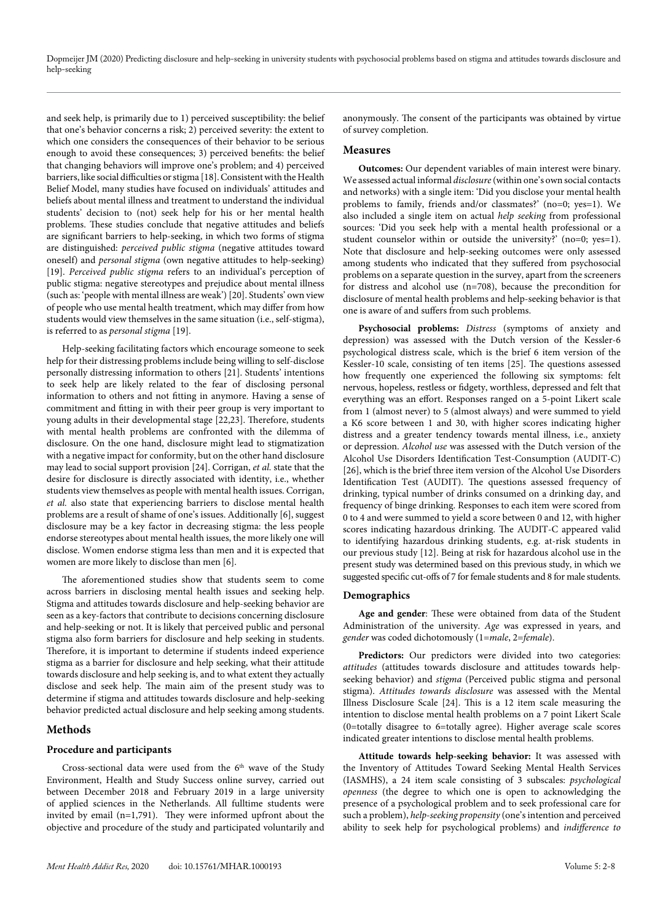and seek help, is primarily due to 1) perceived susceptibility: the belief that one's behavior concerns a risk; 2) perceived severity: the extent to which one considers the consequences of their behavior to be serious enough to avoid these consequences; 3) perceived benefits: the belief that changing behaviors will improve one's problem; and 4) perceived barriers, like social difficulties or stigma [18]. Consistent with the Health Belief Model, many studies have focused on individuals' attitudes and beliefs about mental illness and treatment to understand the individual students' decision to (not) seek help for his or her mental health problems. These studies conclude that negative attitudes and beliefs are significant barriers to help-seeking, in which two forms of stigma are distinguished: *perceived public stigma* (negative attitudes toward oneself) and *personal stigma* (own negative attitudes to help-seeking) [19]. *Perceived public stigma* refers to an individual's perception of public stigma: negative stereotypes and prejudice about mental illness (such as: 'people with mental illness are weak') [20]. Students' own view of people who use mental health treatment, which may differ from how students would view themselves in the same situation (i.e., self-stigma), is referred to as *personal stigma* [19].

Help-seeking facilitating factors which encourage someone to seek help for their distressing problems include being willing to self-disclose personally distressing information to others [21]. Students' intentions to seek help are likely related to the fear of disclosing personal information to others and not fitting in anymore. Having a sense of commitment and fitting in with their peer group is very important to young adults in their developmental stage [22,23]. Therefore, students with mental health problems are confronted with the dilemma of disclosure. On the one hand, disclosure might lead to stigmatization with a negative impact for conformity, but on the other hand disclosure may lead to social support provision [24]. Corrigan, *et al.* state that the desire for disclosure is directly associated with identity, i.e., whether students view themselves as people with mental health issues. Corrigan, *et al.* also state that experiencing barriers to disclose mental health problems are a result of shame of one's issues. Additionally [6], suggest disclosure may be a key factor in decreasing stigma: the less people endorse stereotypes about mental health issues, the more likely one will disclose. Women endorse stigma less than men and it is expected that women are more likely to disclose than men [6].

The aforementioned studies show that students seem to come across barriers in disclosing mental health issues and seeking help. Stigma and attitudes towards disclosure and help-seeking behavior are seen as a key-factors that contribute to decisions concerning disclosure and help-seeking or not. It is likely that perceived public and personal stigma also form barriers for disclosure and help seeking in students. Therefore, it is important to determine if students indeed experience stigma as a barrier for disclosure and help seeking, what their attitude towards disclosure and help seeking is, and to what extent they actually disclose and seek help. The main aim of the present study was to determine if stigma and attitudes towards disclosure and help-seeking behavior predicted actual disclosure and help seeking among students.

#### **Methods**

#### **Procedure and participants**

Cross-sectional data were used from the 6<sup>th</sup> wave of the Study Environment, Health and Study Success online survey, carried out between December 2018 and February 2019 in a large university of applied sciences in the Netherlands. All fulltime students were invited by email (n=1,791). They were informed upfront about the objective and procedure of the study and participated voluntarily and

anonymously. The consent of the participants was obtained by virtue of survey completion.

#### **Measures**

**Outcomes:** Our dependent variables of main interest were binary. We assessed actual informal *disclosure* (within one's own social contacts and networks) with a single item: 'Did you disclose your mental health problems to family, friends and/or classmates?' (no=0; yes=1). We also included a single item on actual *help seeking* from professional sources: 'Did you seek help with a mental health professional or a student counselor within or outside the university?' (no=0; yes=1). Note that disclosure and help-seeking outcomes were only assessed among students who indicated that they suffered from psychosocial problems on a separate question in the survey, apart from the screeners for distress and alcohol use (n=708), because the precondition for disclosure of mental health problems and help-seeking behavior is that one is aware of and suffers from such problems.

**Psychosocial problems:** *Distress* (symptoms of anxiety and depression) was assessed with the Dutch version of the Kessler-6 psychological distress scale, which is the brief 6 item version of the Kessler-10 scale, consisting of ten items [25]. The questions assessed how frequently one experienced the following six symptoms: felt nervous, hopeless, restless or fidgety, worthless, depressed and felt that everything was an effort. Responses ranged on a 5-point Likert scale from 1 (almost never) to 5 (almost always) and were summed to yield a K6 score between 1 and 30, with higher scores indicating higher distress and a greater tendency towards mental illness, i.e., anxiety or depression. *Alcohol use* was assessed with the Dutch version of the Alcohol Use Disorders Identification Test-Consumption (AUDIT-C) [26], which is the brief three item version of the Alcohol Use Disorders Identification Test (AUDIT). The questions assessed frequency of drinking, typical number of drinks consumed on a drinking day, and frequency of binge drinking. Responses to each item were scored from 0 to 4 and were summed to yield a score between 0 and 12, with higher scores indicating hazardous drinking. The AUDIT-C appeared valid to identifying hazardous drinking students, e.g. at-risk students in our previous study [12]. Being at risk for hazardous alcohol use in the present study was determined based on this previous study, in which we suggested specific cut-offs of 7 for female students and 8 for male students.

#### **Demographics**

**Age and gender**: These were obtained from data of the Student Administration of the university. *Age* was expressed in years, and *gender* was coded dichotomously (1=*male*, 2=*female*).

Predictors: Our predictors were divided into two categories: *attitudes* (attitudes towards disclosure and attitudes towards helpseeking behavior) and *stigma* (Perceived public stigma and personal stigma). *Attitudes towards disclosure* was assessed with the Mental Illness Disclosure Scale [24]. This is a 12 item scale measuring the intention to disclose mental health problems on a 7 point Likert Scale (0=totally disagree to 6=totally agree). Higher average scale scores indicated greater intentions to disclose mental health problems.

**Attitude towards help-seeking behavior:** It was assessed with the Inventory of Attitudes Toward Seeking Mental Health Services (IASMHS), a 24 item scale consisting of 3 subscales: *psychological openness* (the degree to which one is open to acknowledging the presence of a psychological problem and to seek professional care for such a problem), *help-seeking propensity* (one's intention and perceived ability to seek help for psychological problems) and *indifference to*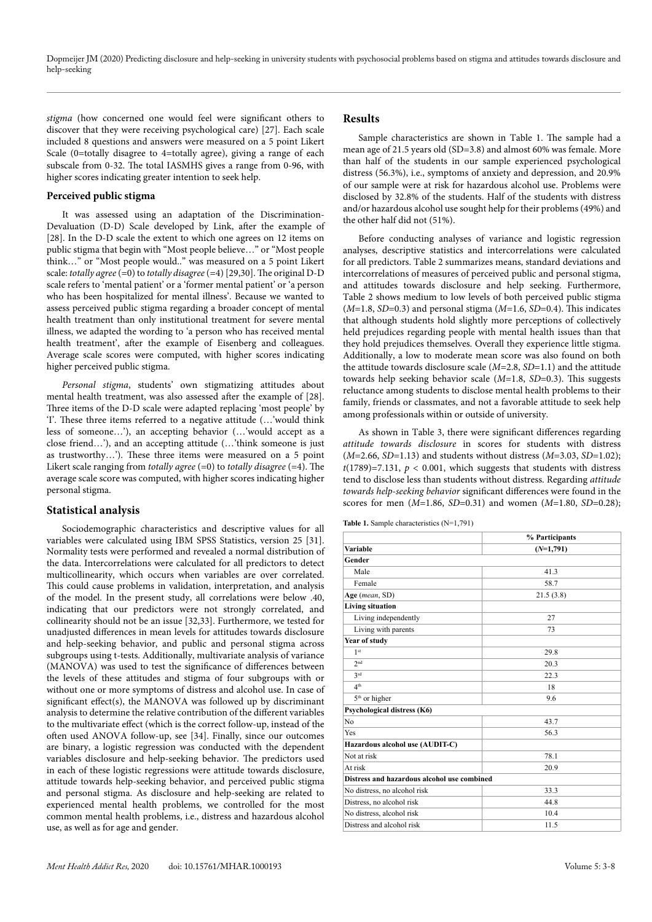*stigma* (how concerned one would feel were significant others to discover that they were receiving psychological care) [27]. Each scale included 8 questions and answers were measured on a 5 point Likert Scale (0=totally disagree to 4=totally agree), giving a range of each subscale from 0-32. The total IASMHS gives a range from 0-96, with higher scores indicating greater intention to seek help.

#### **Perceived public stigma**

It was assessed using an adaptation of the Discrimination-Devaluation (D-D) Scale developed by Link, after the example of [28]. In the D-D scale the extent to which one agrees on 12 items on public stigma that begin with "Most people believe…" or "Most people think…" or "Most people would.." was measured on a 5 point Likert scale: *totally agree* (=0) to *totally disagree* (=4) [29,30]. The original D-D scale refers to 'mental patient' or a 'former mental patient' or 'a person who has been hospitalized for mental illness'. Because we wanted to assess perceived public stigma regarding a broader concept of mental health treatment than only institutional treatment for severe mental illness, we adapted the wording to 'a person who has received mental health treatment', after the example of Eisenberg and colleagues. Average scale scores were computed, with higher scores indicating higher perceived public stigma.

*Personal stigma*, students' own stigmatizing attitudes about mental health treatment, was also assessed after the example of [28]. Three items of the D-D scale were adapted replacing 'most people' by 'I'. These three items referred to a negative attitude (…'would think less of someone…'), an accepting behavior (…'would accept as a close friend…'), and an accepting attitude (…'think someone is just as trustworthy…'). These three items were measured on a 5 point Likert scale ranging from *totally agree* (=0) to *totally disagree* (=4). The average scale score was computed, with higher scores indicating higher personal stigma.

#### **Statistical analysis**

Sociodemographic characteristics and descriptive values for all variables were calculated using IBM SPSS Statistics, version 25 [31]. Normality tests were performed and revealed a normal distribution of the data. Intercorrelations were calculated for all predictors to detect multicollinearity, which occurs when variables are over correlated. This could cause problems in validation, interpretation, and analysis of the model. In the present study, all correlations were below .40, indicating that our predictors were not strongly correlated, and collinearity should not be an issue [32,33]. Furthermore, we tested for unadjusted differences in mean levels for attitudes towards disclosure and help-seeking behavior, and public and personal stigma across subgroups using t-tests. Additionally, multivariate analysis of variance (MANOVA) was used to test the significance of differences between the levels of these attitudes and stigma of four subgroups with or without one or more symptoms of distress and alcohol use. In case of significant effect(s), the MANOVA was followed up by discriminant analysis to determine the relative contribution of the different variables to the multivariate effect (which is the correct follow-up, instead of the often used ANOVA follow-up, see [34]. Finally, since our outcomes are binary, a logistic regression was conducted with the dependent variables disclosure and help-seeking behavior. The predictors used in each of these logistic regressions were attitude towards disclosure, attitude towards help-seeking behavior, and perceived public stigma and personal stigma. As disclosure and help-seeking are related to experienced mental health problems, we controlled for the most common mental health problems, i.e., distress and hazardous alcohol use, as well as for age and gender.

### **Results**

Sample characteristics are shown in Table 1. The sample had a mean age of 21.5 years old (SD=3.8) and almost 60% was female. More than half of the students in our sample experienced psychological distress (56.3%), i.e., symptoms of anxiety and depression, and 20.9% of our sample were at risk for hazardous alcohol use. Problems were disclosed by 32.8% of the students. Half of the students with distress and/or hazardous alcohol use sought help for their problems (49%) and the other half did not (51%).

Before conducting analyses of variance and logistic regression analyses, descriptive statistics and intercorrelations were calculated for all predictors. Table 2 summarizes means, standard deviations and intercorrelations of measures of perceived public and personal stigma, and attitudes towards disclosure and help seeking. Furthermore, Table 2 shows medium to low levels of both perceived public stigma (*M*=1.8, *SD*=0.3) and personal stigma (*M*=1.6, *SD*=0.4). This indicates that although students hold slightly more perceptions of collectively held prejudices regarding people with mental health issues than that they hold prejudices themselves. Overall they experience little stigma. Additionally, a low to moderate mean score was also found on both the attitude towards disclosure scale (*M*=2.8, *SD*=1.1) and the attitude towards help seeking behavior scale (*M*=1.8, *SD*=0.3). This suggests reluctance among students to disclose mental health problems to their family, friends or classmates, and not a favorable attitude to seek help among professionals within or outside of university.

As shown in Table 3, there were significant differences regarding *attitude towards disclosure* in scores for students with distress (*M*=2.66, *SD*=1.13) and students without distress (*M*=3.03, *SD*=1.02);  $t(1789)=7.131$ ,  $p < 0.001$ , which suggests that students with distress tend to disclose less than students without distress. Regarding *attitude towards help-seeking behavior* significant differences were found in the scores for men (*M*=1.86, *SD*=0.31) and women (*M*=1.80, *SD*=0.28);

**Table 1.** Sample characteristics (N=1,791)

|                                             | % Participants |
|---------------------------------------------|----------------|
| Variable                                    | $(N=1,791)$    |
| Gender                                      |                |
| Male                                        | 41.3           |
| Female                                      | 58.7           |
| Age (mean, SD)                              | 21.5(3.8)      |
| <b>Living situation</b>                     |                |
| Living independently                        | 27             |
| Living with parents                         | 73             |
| Year of study                               |                |
| 1 <sub>st</sub>                             | 29.8           |
| 2nd                                         | 20.3           |
| 2rd                                         | 22.3           |
| 4 <sup>th</sup>                             | 18             |
| 5 <sup>th</sup> or higher                   | 9.6            |
| Psychological distress (K6)                 |                |
| No                                          | 43.7           |
| Yes                                         | 56.3           |
| Hazardous alcohol use (AUDIT-C)             |                |
| Not at risk                                 | 78.1           |
| At risk                                     | 20.9           |
| Distress and hazardous alcohol use combined |                |
| No distress, no alcohol risk                | 33.3           |
| Distress, no alcohol risk                   | 44.8           |
| No distress, alcohol risk                   | 10.4           |
| Distress and alcohol risk                   | 11.5           |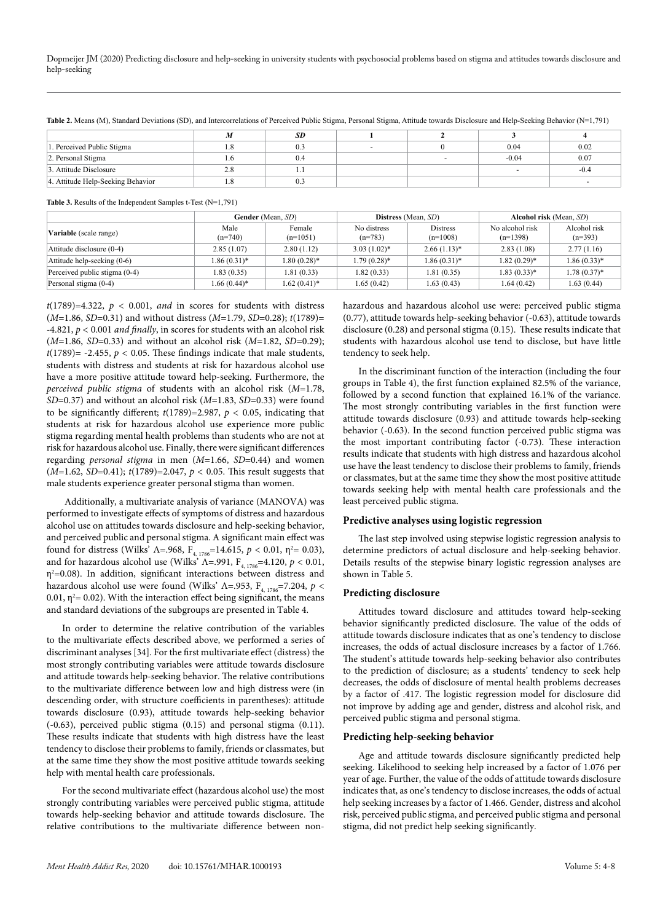|  | Table 2. Means (M), Standard Deviations (SD), and Intercorrelations of Perceived Public Stigma, Personal Stigma, Attitude towards Disclosure and Help-Seeking Behavior (N=1,791) |
|--|----------------------------------------------------------------------------------------------------------------------------------------------------------------------------------|
|--|----------------------------------------------------------------------------------------------------------------------------------------------------------------------------------|

|                                   |     | SD  |  |         |        |
|-----------------------------------|-----|-----|--|---------|--------|
| 1. Perceived Public Stigma        | 1.0 | 0.3 |  | 0.04    | 0.02   |
| 2. Personal Stigma                | 0   | 0.4 |  | $-0.04$ | 0.07   |
| 3. Attitude Disclosure            | 2.8 |     |  |         | $-0.4$ |
| 4. Attitude Help-Seeking Behavior | 1.0 | 0.3 |  |         |        |

**Table 3.** Results of the Independent Samples t-Test (N=1,791)

|                               | Gender (Mean, SD) |                      |                          | <b>Distress</b> (Mean, SD)    | <b>Alcohol risk</b> (Mean, SD) |                           |
|-------------------------------|-------------------|----------------------|--------------------------|-------------------------------|--------------------------------|---------------------------|
| <b>Variable</b> (scale range) | Male<br>$(n=740)$ | Female<br>$(n=1051)$ | No distress<br>$(n=783)$ | <b>Distress</b><br>$(n=1008)$ | No alcohol risk<br>$(n=1398)$  | Alcohol risk<br>$(n=393)$ |
| Attitude disclosure (0-4)     | 2.85(1.07)        | 2.80(1.12)           | $3.03(1.02)*$            | $2.66(1.13)*$                 | 2.83(1.08)                     | 2.77(1.16)                |
| Attitude help-seeking (0-6)   | $1.86(0.31)*$     | $1.80(0.28)$ *       | $1.79(0.28)$ *           | $1.86(0.31)$ *                | $1.82(0.29)$ *                 | $1.86(0.33)*$             |
| Perceived public stigma (0-4) | 1.83(0.35)        | 1.81(0.33)           | 1.82(0.33)               | 1.81 (0.35)                   | $1.83(0.33)*$                  | $1.78(0.37)$ *            |
| Personal stigma (0-4)         | $1.66(0.44)$ *    | $1.62(0.41)$ *       | 1.65(0.42)               | 1.63(0.43)                    | 1.64 (0.42)                    | 1.63(0.44)                |

 $t(1789)=4.322$ ,  $p < 0.001$ , *and* in scores for students with distress (*M*=1.86, *SD*=0.31) and without distress (*M*=1.79, *SD*=0.28); *t*(1789)= -4.821, *p <* 0.001 *and finally*, in scores for students with an alcohol risk (*M*=1.86, *SD*=0.33) and without an alcohol risk (*M*=1.82, *SD*=0.29);  $t(1789)$ = -2.455,  $p < 0.05$ . These findings indicate that male students, students with distress and students at risk for hazardous alcohol use have a more positive attitude toward help-seeking. Furthermore, the *perceived public stigma* of students with an alcohol risk (*M*=1.78, *SD*=0.37) and without an alcohol risk (*M*=1.83, *SD*=0.33) were found to be significantly different;  $t(1789)=2.987$ ,  $p < 0.05$ , indicating that students at risk for hazardous alcohol use experience more public stigma regarding mental health problems than students who are not at risk for hazardous alcohol use. Finally, there were significant differences regarding *personal stigma* in men (*M*=1.66, *SD*=0.44) and women (*M*=1.62, *SD*=0.41); *t*(1789)=2.047, *p <* 0.05. This result suggests that male students experience greater personal stigma than women.

Additionally, a multivariate analysis of variance (MANOVA) was performed to investigate effects of symptoms of distress and hazardous alcohol use on attitudes towards disclosure and help-seeking behavior, and perceived public and personal stigma. A significant main effect was found for distress (Wilks'  $\Lambda$ =.968,  $F_{4, 1786}$ =14.615,  $p < 0.01$ ,  $\eta^2$ = 0.03), and for hazardous alcohol use (Wilks<sup>'</sup>  $\Lambda$ =.991,  $F_{4,1786}$ =4.120,  $p < 0.01$ ,  $\eta^2$ =0.08). In addition, significant interactions between distress and hazardous alcohol use were found (Wilks'  $\Lambda$ =.953,  $F_{4, 1786}$ =7.204,  $p$  < 0.01,  $\eta^2$  = 0.02). With the interaction effect being significant, the means and standard deviations of the subgroups are presented in Table 4.

In order to determine the relative contribution of the variables to the multivariate effects described above, we performed a series of discriminant analyses [34]. For the first multivariate effect (distress) the most strongly contributing variables were attitude towards disclosure and attitude towards help-seeking behavior. The relative contributions to the multivariate difference between low and high distress were (in descending order, with structure coefficients in parentheses): attitude towards disclosure (0.93), attitude towards help-seeking behavior (-0.63), perceived public stigma (0.15) and personal stigma (0.11). These results indicate that students with high distress have the least tendency to disclose their problems to family, friends or classmates, but at the same time they show the most positive attitude towards seeking help with mental health care professionals.

For the second multivariate effect (hazardous alcohol use) the most strongly contributing variables were perceived public stigma, attitude towards help-seeking behavior and attitude towards disclosure. The relative contributions to the multivariate difference between nonhazardous and hazardous alcohol use were: perceived public stigma (0.77), attitude towards help-seeking behavior (-0.63), attitude towards disclosure (0.28) and personal stigma (0.15). These results indicate that students with hazardous alcohol use tend to disclose, but have little tendency to seek help.

In the discriminant function of the interaction (including the four groups in Table 4), the first function explained 82.5% of the variance, followed by a second function that explained 16.1% of the variance. The most strongly contributing variables in the first function were attitude towards disclosure (0.93) and attitude towards help-seeking behavior (-0.63). In the second function perceived public stigma was the most important contributing factor (-0.73). These interaction results indicate that students with high distress and hazardous alcohol use have the least tendency to disclose their problems to family, friends or classmates, but at the same time they show the most positive attitude towards seeking help with mental health care professionals and the least perceived public stigma.

#### **Predictive analyses using logistic regression**

The last step involved using stepwise logistic regression analysis to determine predictors of actual disclosure and help-seeking behavior. Details results of the stepwise binary logistic regression analyses are shown in Table 5.

#### **Predicting disclosure**

Attitudes toward disclosure and attitudes toward help-seeking behavior significantly predicted disclosure. The value of the odds of attitude towards disclosure indicates that as one's tendency to disclose increases, the odds of actual disclosure increases by a factor of 1.766. The student's attitude towards help-seeking behavior also contributes to the prediction of disclosure; as a students' tendency to seek help decreases, the odds of disclosure of mental health problems decreases by a factor of .417. The logistic regression model for disclosure did not improve by adding age and gender, distress and alcohol risk, and perceived public stigma and personal stigma.

#### **Predicting help-seeking behavior**

Age and attitude towards disclosure significantly predicted help seeking. Likelihood to seeking help increased by a factor of 1.076 per year of age. Further, the value of the odds of attitude towards disclosure indicates that, as one's tendency to disclose increases, the odds of actual help seeking increases by a factor of 1.466. Gender, distress and alcohol risk, perceived public stigma, and perceived public stigma and personal stigma, did not predict help seeking significantly.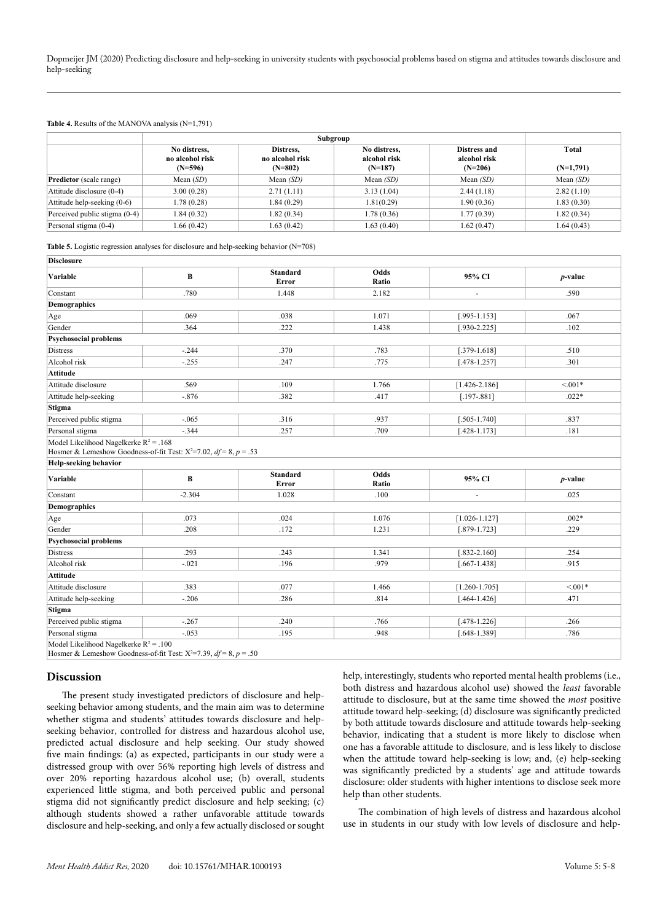#### **Table 4.** Results of the MANOVA analysis (N=1,791)

|                                |                                              |                                           | Subgroup                                  |                                           |                      |
|--------------------------------|----------------------------------------------|-------------------------------------------|-------------------------------------------|-------------------------------------------|----------------------|
|                                | No distress,<br>no alcohol risk<br>$(N=596)$ | Distress.<br>no alcohol risk<br>$(N=802)$ | No distress,<br>alcohol risk<br>$(N=187)$ | Distress and<br>alcohol risk<br>$(N=206)$ | Total<br>$(N=1,791)$ |
| <b>Predictor</b> (scale range) | Mean $(SD)$                                  | Mean $(SD)$                               | Mean $(SD)$                               | Mean $(SD)$                               | Mean $(SD)$          |
| Attitude disclosure (0-4)      | 3.00(0.28)                                   | 2.71(1.11)                                | 3.13(1.04)                                | 2.44(1.18)                                | 2.82(1.10)           |
| Attitude help-seeking (0-6)    | 1.78 (0.28)                                  | 1.84(0.29)                                | 1.81(0.29)                                | 1.90(0.36)                                | 1.83(0.30)           |
| Perceived public stigma (0-4)  | 1.84 (0.32)                                  | 1.82(0.34)                                | 1.78(0.36)                                | 1.77 (0.39)                               | 1.82(0.34)           |
| Personal stigma (0-4)          | 1.66(0.42)                                   | 1.63(0.42)                                | 1.63(0.40)                                | 1.62(0.47)                                | 1.64(0.43)           |

**Table 5.** Logistic regression analyses for disclosure and help-seeking behavior (N=708)

| <b>Disclosure</b>                                                                                                                                                                                                                                                                                                               |                                                                           |                          |               |                          |            |
|---------------------------------------------------------------------------------------------------------------------------------------------------------------------------------------------------------------------------------------------------------------------------------------------------------------------------------|---------------------------------------------------------------------------|--------------------------|---------------|--------------------------|------------|
| Variable                                                                                                                                                                                                                                                                                                                        | B                                                                         | <b>Standard</b><br>Error | Odds<br>Ratio | 95% CI                   | $p$ -value |
| Constant                                                                                                                                                                                                                                                                                                                        | .780                                                                      | 1.448                    | 2.182         | ÷,                       | .590       |
| <b>Demographics</b>                                                                                                                                                                                                                                                                                                             |                                                                           |                          |               |                          |            |
| Age                                                                                                                                                                                                                                                                                                                             | .069                                                                      | .038                     | 1.071         | $[.995 - 1.153]$         | .067       |
| Gender                                                                                                                                                                                                                                                                                                                          | .364                                                                      | .222                     | 1.438         | $[.930 - 2.225]$         | .102       |
| <b>Psychosocial problems</b>                                                                                                                                                                                                                                                                                                    |                                                                           |                          |               |                          |            |
| <b>Distress</b>                                                                                                                                                                                                                                                                                                                 | $-244$                                                                    | .370                     | .783          | $[.379-1.618]$           | .510       |
| Alcohol risk                                                                                                                                                                                                                                                                                                                    | $-.255$                                                                   | .247                     | .775          | $[.478 - 1.257]$         | .301       |
| Attitude                                                                                                                                                                                                                                                                                                                        |                                                                           |                          |               |                          |            |
| Attitude disclosure                                                                                                                                                                                                                                                                                                             | .569                                                                      | .109                     | 1.766         | $[1.426 - 2.186]$        | $< 0.01*$  |
| Attitude help-seeking                                                                                                                                                                                                                                                                                                           | $-876$                                                                    | .382                     | .417          | $[.197 - .881]$          | $.022*$    |
| <b>Stigma</b>                                                                                                                                                                                                                                                                                                                   |                                                                           |                          |               |                          |            |
| Perceived public stigma                                                                                                                                                                                                                                                                                                         | $-065$                                                                    | .316                     | .937          | $[.505 - 1.740]$         | .837       |
|                                                                                                                                                                                                                                                                                                                                 |                                                                           |                          |               |                          |            |
|                                                                                                                                                                                                                                                                                                                                 | $-344$                                                                    | .257                     | .709          | $[.428 - 1.173]$         | .181       |
|                                                                                                                                                                                                                                                                                                                                 | Hosmer & Lemeshow Goodness-of-fit Test: $X^2=7.02$ , $df = 8$ , $p = .53$ |                          |               |                          |            |
|                                                                                                                                                                                                                                                                                                                                 | $\bf{B}$                                                                  | <b>Standard</b><br>Error | Odds<br>Ratio | 95% CI                   | $p$ -value |
|                                                                                                                                                                                                                                                                                                                                 | $-2.304$                                                                  | 1.028                    | .100          | $\overline{\phantom{a}}$ | .025       |
|                                                                                                                                                                                                                                                                                                                                 |                                                                           |                          |               |                          |            |
|                                                                                                                                                                                                                                                                                                                                 | .073                                                                      | .024                     | 1.076         | $[1.026 - 1.127]$        | $.002*$    |
|                                                                                                                                                                                                                                                                                                                                 | .208                                                                      | .172                     | 1.231         | $[.879-1.723]$           | .229       |
|                                                                                                                                                                                                                                                                                                                                 |                                                                           |                          |               |                          |            |
|                                                                                                                                                                                                                                                                                                                                 | .293                                                                      | .243                     | 1.341         | $[.832 - 2.160]$         | .254       |
|                                                                                                                                                                                                                                                                                                                                 | $-021$                                                                    | .196                     | .979          | $[.667 - 1.438]$         | .915       |
|                                                                                                                                                                                                                                                                                                                                 |                                                                           |                          |               |                          |            |
|                                                                                                                                                                                                                                                                                                                                 | .383                                                                      | .077                     | 1.466         | $[1.260 - 1.705]$        | $< 0.01*$  |
|                                                                                                                                                                                                                                                                                                                                 | $-.206$                                                                   | .286                     | .814          | $[.464 - 1.426]$         | .471       |
|                                                                                                                                                                                                                                                                                                                                 |                                                                           |                          |               |                          |            |
| Personal stigma<br>Model Likelihood Nagelkerke $R^2 = .168$<br><b>Help-seeking behavior</b><br>Variable<br>Constant<br><b>Demographics</b><br>Age<br>Gender<br><b>Psychosocial problems</b><br>Distress<br>Alcohol risk<br>Attitude<br>Attitude disclosure<br>Attitude help-seeking<br><b>Stigma</b><br>Perceived public stigma | $-.267$                                                                   | .240                     | .766          | $[.478 - 1.226]$         | .266       |

## **Discussion**

The present study investigated predictors of disclosure and helpseeking behavior among students, and the main aim was to determine whether stigma and students' attitudes towards disclosure and helpseeking behavior, controlled for distress and hazardous alcohol use, predicted actual disclosure and help seeking. Our study showed five main findings: (a) as expected, participants in our study were a distressed group with over 56% reporting high levels of distress and over 20% reporting hazardous alcohol use; (b) overall, students experienced little stigma, and both perceived public and personal stigma did not significantly predict disclosure and help seeking; (c) although students showed a rather unfavorable attitude towards disclosure and help-seeking, and only a few actually disclosed or sought

help, interestingly, students who reported mental health problems (i.e., both distress and hazardous alcohol use) showed the *least* favorable attitude to disclosure, but at the same time showed the *most* positive attitude toward help-seeking; (d) disclosure was significantly predicted by both attitude towards disclosure and attitude towards help-seeking behavior, indicating that a student is more likely to disclose when one has a favorable attitude to disclosure, and is less likely to disclose when the attitude toward help-seeking is low; and, (e) help-seeking was significantly predicted by a students' age and attitude towards disclosure: older students with higher intentions to disclose seek more help than other students.

The combination of high levels of distress and hazardous alcohol use in students in our study with low levels of disclosure and help-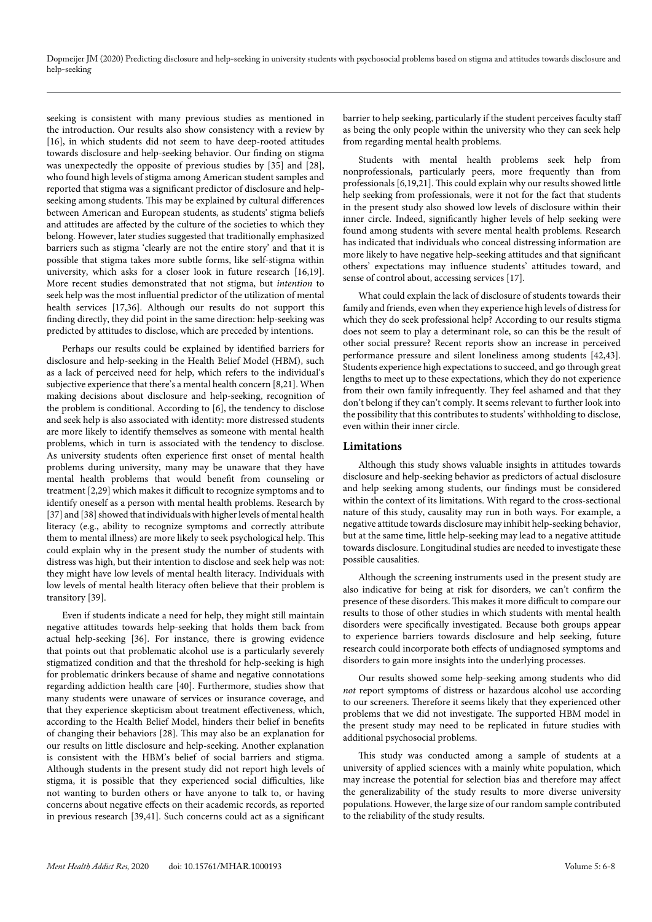Dopmeijer JM (2020) Predicting disclosure and help-seeking in university students with psychosocial problems based on stigma and attitudes towards disclosure and help-seeking

seeking is consistent with many previous studies as mentioned in the introduction. Our results also show consistency with a review by [16], in which students did not seem to have deep-rooted attitudes towards disclosure and help-seeking behavior. Our finding on stigma was unexpectedly the opposite of previous studies by [35] and [28], who found high levels of stigma among American student samples and reported that stigma was a significant predictor of disclosure and helpseeking among students. This may be explained by cultural differences between American and European students, as students' stigma beliefs and attitudes are affected by the culture of the societies to which they belong. However, later studies suggested that traditionally emphasized barriers such as stigma 'clearly are not the entire story' and that it is possible that stigma takes more subtle forms, like self-stigma within university, which asks for a closer look in future research [16,19]. More recent studies demonstrated that not stigma, but *intention* to seek help was the most influential predictor of the utilization of mental health services [17,36]. Although our results do not support this finding directly, they did point in the same direction: help-seeking was predicted by attitudes to disclose, which are preceded by intentions.

Perhaps our results could be explained by identified barriers for disclosure and help-seeking in the Health Belief Model (HBM), such as a lack of perceived need for help, which refers to the individual's subjective experience that there's a mental health concern [8,21]. When making decisions about disclosure and help-seeking, recognition of the problem is conditional. According to [6], the tendency to disclose and seek help is also associated with identity: more distressed students are more likely to identify themselves as someone with mental health problems, which in turn is associated with the tendency to disclose. As university students often experience first onset of mental health problems during university, many may be unaware that they have mental health problems that would benefit from counseling or treatment [2,29] which makes it difficult to recognize symptoms and to identify oneself as a person with mental health problems. Research by [37] and [38] showed that individuals with higher levels of mental health literacy (e.g., ability to recognize symptoms and correctly attribute them to mental illness) are more likely to seek psychological help. This could explain why in the present study the number of students with distress was high, but their intention to disclose and seek help was not: they might have low levels of mental health literacy. Individuals with low levels of mental health literacy often believe that their problem is transitory [39].

Even if students indicate a need for help, they might still maintain negative attitudes towards help-seeking that holds them back from actual help-seeking [36]. For instance, there is growing evidence that points out that problematic alcohol use is a particularly severely stigmatized condition and that the threshold for help-seeking is high for problematic drinkers because of shame and negative connotations regarding addiction health care [40]. Furthermore, studies show that many students were unaware of services or insurance coverage, and that they experience skepticism about treatment effectiveness, which, according to the Health Belief Model, hinders their belief in benefits of changing their behaviors [28]. This may also be an explanation for our results on little disclosure and help-seeking. Another explanation is consistent with the HBM's belief of social barriers and stigma. Although students in the present study did not report high levels of stigma, it is possible that they experienced social difficulties, like not wanting to burden others or have anyone to talk to, or having concerns about negative effects on their academic records, as reported in previous research [39,41]. Such concerns could act as a significant barrier to help seeking, particularly if the student perceives faculty staff as being the only people within the university who they can seek help from regarding mental health problems.

Students with mental health problems seek help from nonprofessionals, particularly peers, more frequently than from professionals [6,19,21]. This could explain why our results showed little help seeking from professionals, were it not for the fact that students in the present study also showed low levels of disclosure within their inner circle. Indeed, significantly higher levels of help seeking were found among students with severe mental health problems. Research has indicated that individuals who conceal distressing information are more likely to have negative help-seeking attitudes and that significant others' expectations may influence students' attitudes toward, and sense of control about, accessing services [17].

What could explain the lack of disclosure of students towards their family and friends, even when they experience high levels of distress for which they do seek professional help? According to our results stigma does not seem to play a determinant role, so can this be the result of other social pressure? Recent reports show an increase in perceived performance pressure and silent loneliness among students [42,43]. Students experience high expectations to succeed, and go through great lengths to meet up to these expectations, which they do not experience from their own family infrequently. They feel ashamed and that they don't belong if they can't comply. It seems relevant to further look into the possibility that this contributes to students' withholding to disclose, even within their inner circle.

#### **Limitations**

Although this study shows valuable insights in attitudes towards disclosure and help-seeking behavior as predictors of actual disclosure and help seeking among students, our findings must be considered within the context of its limitations. With regard to the cross-sectional nature of this study, causality may run in both ways. For example, a negative attitude towards disclosure may inhibit help-seeking behavior, but at the same time, little help-seeking may lead to a negative attitude towards disclosure. Longitudinal studies are needed to investigate these possible causalities.

Although the screening instruments used in the present study are also indicative for being at risk for disorders, we can't confirm the presence of these disorders. This makes it more difficult to compare our results to those of other studies in which students with mental health disorders were specifically investigated. Because both groups appear to experience barriers towards disclosure and help seeking, future research could incorporate both effects of undiagnosed symptoms and disorders to gain more insights into the underlying processes.

Our results showed some help-seeking among students who did *not* report symptoms of distress or hazardous alcohol use according to our screeners. Therefore it seems likely that they experienced other problems that we did not investigate. The supported HBM model in the present study may need to be replicated in future studies with additional psychosocial problems.

This study was conducted among a sample of students at a university of applied sciences with a mainly white population, which may increase the potential for selection bias and therefore may affect the generalizability of the study results to more diverse university populations. However, the large size of our random sample contributed to the reliability of the study results.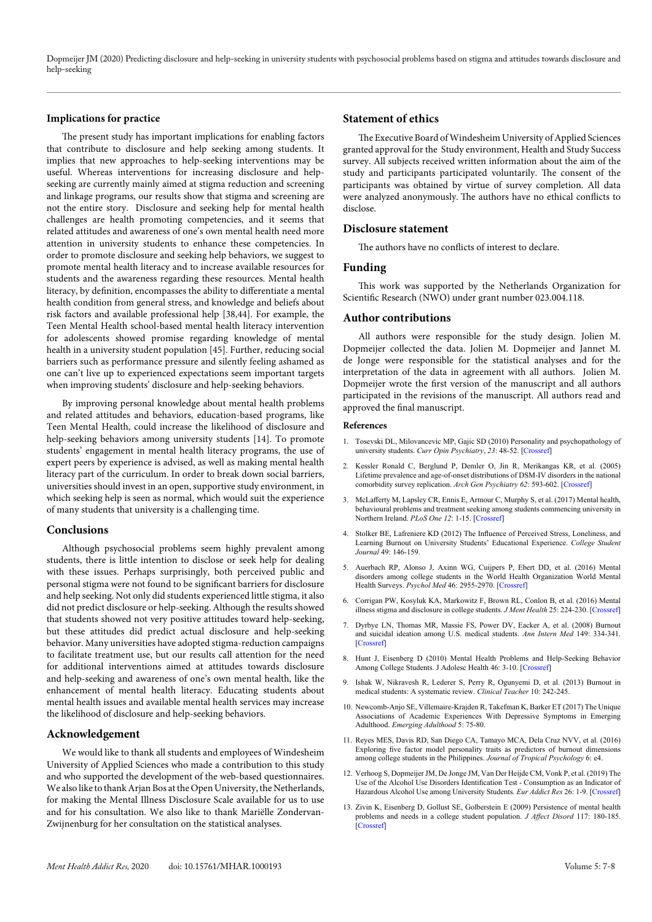Dopmeijer JM (2020) Predicting disclosure and help-seeking in university students with psychosocial problems based on stigma and attitudes towards disclosure and help-seeking

#### **Implications for practice**

The present study has important implications for enabling factors that contribute to disclosure and help seeking among students. It implies that new approaches to help-seeking interventions may be useful. Whereas interventions for increasing disclosure and helpseeking are currently mainly aimed at stigma reduction and screening and linkage programs, our results show that stigma and screening are not the entire story. Disclosure and seeking help for mental health challenges are health promoting competencies, and it seems that related attitudes and awareness of one's own mental health need more attention in university students to enhance these competencies. In order to promote disclosure and seeking help behaviors, we suggest to promote mental health literacy and to increase available resources for students and the awareness regarding these resources. Mental health literacy, by definition, encompasses the ability to differentiate a mental health condition from general stress, and knowledge and beliefs about risk factors and available professional help [38,44]. For example, the Teen Mental Health school-based mental health literacy intervention for adolescents showed promise regarding knowledge of mental health in a university student population [45]. Further, reducing social barriers such as performance pressure and silently feeling ashamed as one can't live up to experienced expectations seem important targets when improving students' disclosure and help-seeking behaviors.

By improving personal knowledge about mental health problems and related attitudes and behaviors, education-based programs, like Teen Mental Health, could increase the likelihood of disclosure and help-seeking behaviors among university students [14]. To promote students' engagement in mental health literacy programs, the use of expert peers by experience is advised, as well as making mental health literacy part of the curriculum. In order to break down social barriers, universities should invest in an open, supportive study environment, in which seeking help is seen as normal, which would suit the experience of many students that university is a challenging time.

#### **Conclusions**

Although psychosocial problems seem highly prevalent among students, there is little intention to disclose or seek help for dealing with these issues. Perhaps surprisingly, both perceived public and personal stigma were not found to be significant barriers for disclosure and help seeking. Not only did students experienced little stigma, it also did not predict disclosure or help-seeking. Although the results showed that students showed not very positive attitudes toward help-seeking, but these attitudes did predict actual disclosure and help-seeking behavior. Many universities have adopted stigma-reduction campaigns to facilitate treatment use, but our results call attention for the need for additional interventions aimed at attitudes towards disclosure and help-seeking and awareness of one's own mental health, like the enhancement of mental health literacy. Educating students about mental health issues and available mental health services may increase the likelihood of disclosure and help-seeking behaviors.

#### **Acknowledgement**

We would like to thank all students and employees of Windesheim University of Applied Sciences who made a contribution to this study and who supported the development of the web-based questionnaires. We also like to thank Arjan Bos at the Open University, the Netherlands, for making the Mental Illness Disclosure Scale available for us to use and for his consultation. We also like to thank Mariëlle Zondervan-Zwijnenburg for her consultation on the statistical analyses.

#### **Statement of ethics**

The Executive Board of Windesheim University of Applied Sciences granted approval for the Study environment, Health and Study Success survey. All subjects received written information about the aim of the study and participants participated voluntarily. The consent of the participants was obtained by virtue of survey completion. All data were analyzed anonymously. The authors have no ethical conflicts to disclose.

#### **Disclosure statement**

The authors have no conflicts of interest to declare.

#### **Funding**

This work was supported by the Netherlands Organization for Scientific Research (NWO) under grant number 023.004.118.

#### **Author contributions**

All authors were responsible for the study design. Jolien M. Dopmeijer collected the data. Jolien M. Dopmeijer and Jannet M. de Jonge were responsible for the statistical analyses and for the interpretation of the data in agreement with all authors. Jolien M. Dopmeijer wrote the first version of the manuscript and all authors participated in the revisions of the manuscript. All authors read and approved the final manuscript.

#### **References**

- 1. Tosevski DL, Milovancevic MP, Gajic SD (2010) Personality and psychopathology of university students. *Curr Opin Psychiatry*, *23*: 48-52. [[Crossref\]](https://pubmed.ncbi.nlm.nih.gov/19890212/)
- 2. Kessler Ronald C, Berglund P, Demler O, Jin R, Merikangas KR, et al. (2005) Lifetime prevalence and age-of-onset distributions of DSM-IV disorders in the national comorbidity survey replication. *Arch Gen Psychiatry 62*: 593-602. [[Crossref](https://pubmed.ncbi.nlm.nih.gov/15939837/)]
- 3. McLafferty M, Lapsley CR, Ennis E, Armour C, Murphy S, et al. (2017) Mental health, behavioural problems and treatment seeking among students commencing university in Northern Ireland. *PLoS One 12*: 1-15. [[Crossref](https://pubmed.ncbi.nlm.nih.gov/29236727/)]
- 4. Stolker BE, Lafreniere KD (2012) The Influence of Perceived Stress, Loneliness, and Learning Burnout on University Students' Educational Experience. *College Student Journal* 49: 146-159.
- 5. Auerbach RP, Alonso J, Axinn WG, Cuijpers P, Ebert DD, et al. (2016) Mental disorders among college students in the World Health Organization World Mental Health Surveys. *Psychol Med* 46: 2955-2970. [[Crossref\]](https://pubmed.ncbi.nlm.nih.gov/27484622/)
- 6. Corrigan PW, Kosyluk KA, Markowitz F, Brown RL, Conlon B, et al. (2016) Mental illness stigma and disclosure in college students. *J Ment Health* 25: 224-230. [[Crossref\]](https://pubmed.ncbi.nlm.nih.gov/26607364/#:~:text=RESULTS%3A Variables found to be,a program aiding in disclosure.)
- 7. Dyrbye LN, Thomas MR, Massie FS, Power DV, Eacker A, et al. (2008) Burnout and suicidal ideation among U.S. medical students. *Ann Intern Med* 149: 334-341. [[Crossref\]](https://pubmed.ncbi.nlm.nih.gov/18765703/)
- 8. Hunt J, Eisenberg D (2010) Mental Health Problems and Help-Seeking Behavior Among College Students. J Adolesc Health 46: 3-10. [[Crossref](https://pubmed.ncbi.nlm.nih.gov/20123251/)]
- 9. Ishak W, Nikravesh R, Lederer S, Perry R, Ogunyemi D, et al. (2013) Burnout in medical students: A systematic review. *Clinical Teacher* 10: 242-245.
- 10. Newcomb-Anjo SE, Villemaire-Krajden R, Takefman K, Barker ET (2017) The Unique Associations of Academic Experiences With Depressive Symptoms in Emerging Adulthood. *Emerging Adulthood* 5: 75-80.
- 11. Reyes MES, Davis RD, San Diego CA, Tamayo MCA, Dela Cruz NVV, et al. (2016) Exploring five factor model personality traits as predictors of burnout dimensions among college students in the Philippines. *Journal of Tropical Psychology* 6: e4.
- 12. Verhoog S, Dopmeijer JM, De Jonge JM, Van Der Heijde CM, Vonk P, et al. (2019) The Use of the Alcohol Use Disorders Identification Test - Consumption as an Indicator of Hazardous Alcohol Use among University Students. *Eur Addict Res* 26: 1-9. [[Crossref\]](https://pubmed.ncbi.nlm.nih.gov/31563902/)
- 13. Zivin K, Eisenberg D, Gollust SE, Golberstein E (2009) Persistence of mental health problems and needs in a college student population. *J Affect Disord* 117: 180-185. [[Crossref\]](https://pubmed.ncbi.nlm.nih.gov/19178949/)